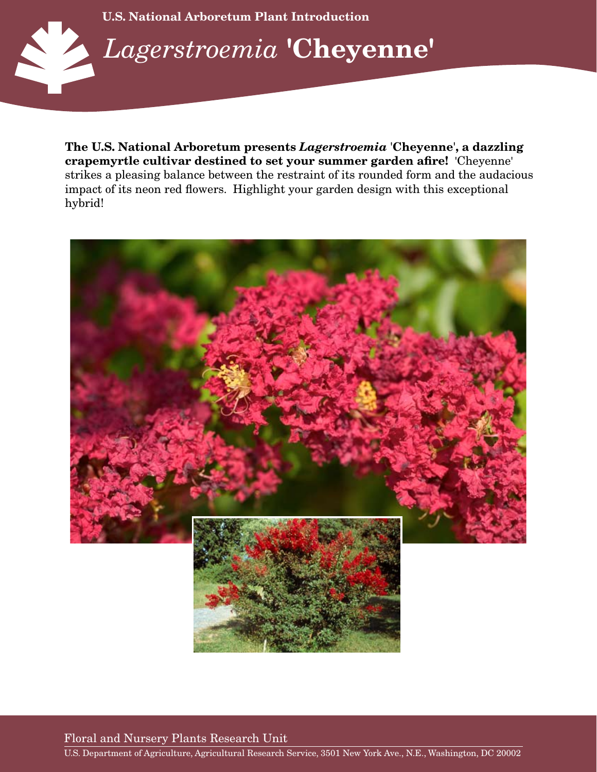

**The U.S. National Arboretum presents** *Lagerstroemia* '**Cheyenne**'**, a dazzling crapemyrtle cultivar destined to set your summer garden afire!** 'Cheyenne' strikes a pleasing balance between the restraint of its rounded form and the audacious impact of its neon red flowers. Highlight your garden design with this exceptional hybrid!



Floral and Nursery Plants Research Unit

U.S. Department of Agriculture, Agricultural Research Service, 3501 New York Ave., N.E., Washington, DC 20002